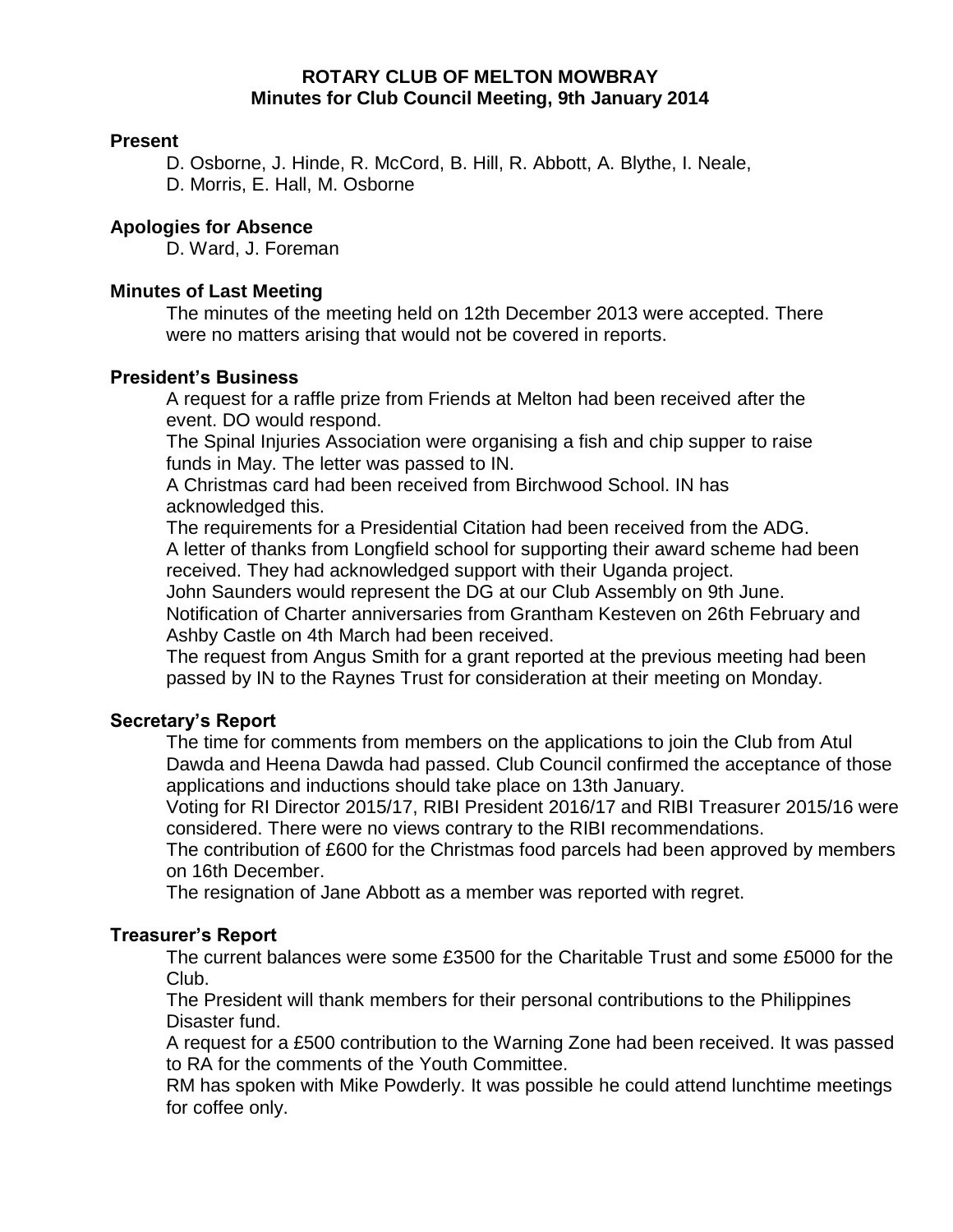# **ROTARY CLUB OF MELTON MOWBRAY Minutes for Club Council Meeting, 9th January 2014**

# **Present**

D. Osborne, J. Hinde, R. McCord, B. Hill, R. Abbott, A. Blythe, I. Neale, D. Morris, E. Hall, M. Osborne

# **Apologies for Absence**

D. Ward, J. Foreman

# **Minutes of Last Meeting**

The minutes of the meeting held on 12th December 2013 were accepted. There were no matters arising that would not be covered in reports.

# **President's Business**

A request for a raffle prize from Friends at Melton had been received after the event. DO would respond.

The Spinal Injuries Association were organising a fish and chip supper to raise funds in May. The letter was passed to IN.

A Christmas card had been received from Birchwood School. IN has acknowledged this.

The requirements for a Presidential Citation had been received from the ADG. A letter of thanks from Longfield school for supporting their award scheme had been

received. They had acknowledged support with their Uganda project.

John Saunders would represent the DG at our Club Assembly on 9th June.

Notification of Charter anniversaries from Grantham Kesteven on 26th February and Ashby Castle on 4th March had been received.

The request from Angus Smith for a grant reported at the previous meeting had been passed by IN to the Raynes Trust for consideration at their meeting on Monday.

# **Secretary's Report**

The time for comments from members on the applications to join the Club from Atul Dawda and Heena Dawda had passed. Club Council confirmed the acceptance of those applications and inductions should take place on 13th January.

Voting for RI Director 2015/17, RIBI President 2016/17 and RIBI Treasurer 2015/16 were considered. There were no views contrary to the RIBI recommendations.

The contribution of £600 for the Christmas food parcels had been approved by members on 16th December.

The resignation of Jane Abbott as a member was reported with regret.

# **Treasurer's Report**

The current balances were some £3500 for the Charitable Trust and some £5000 for the Club.

The President will thank members for their personal contributions to the Philippines Disaster fund.

A request for a £500 contribution to the Warning Zone had been received. It was passed to RA for the comments of the Youth Committee.

RM has spoken with Mike Powderly. It was possible he could attend lunchtime meetings for coffee only.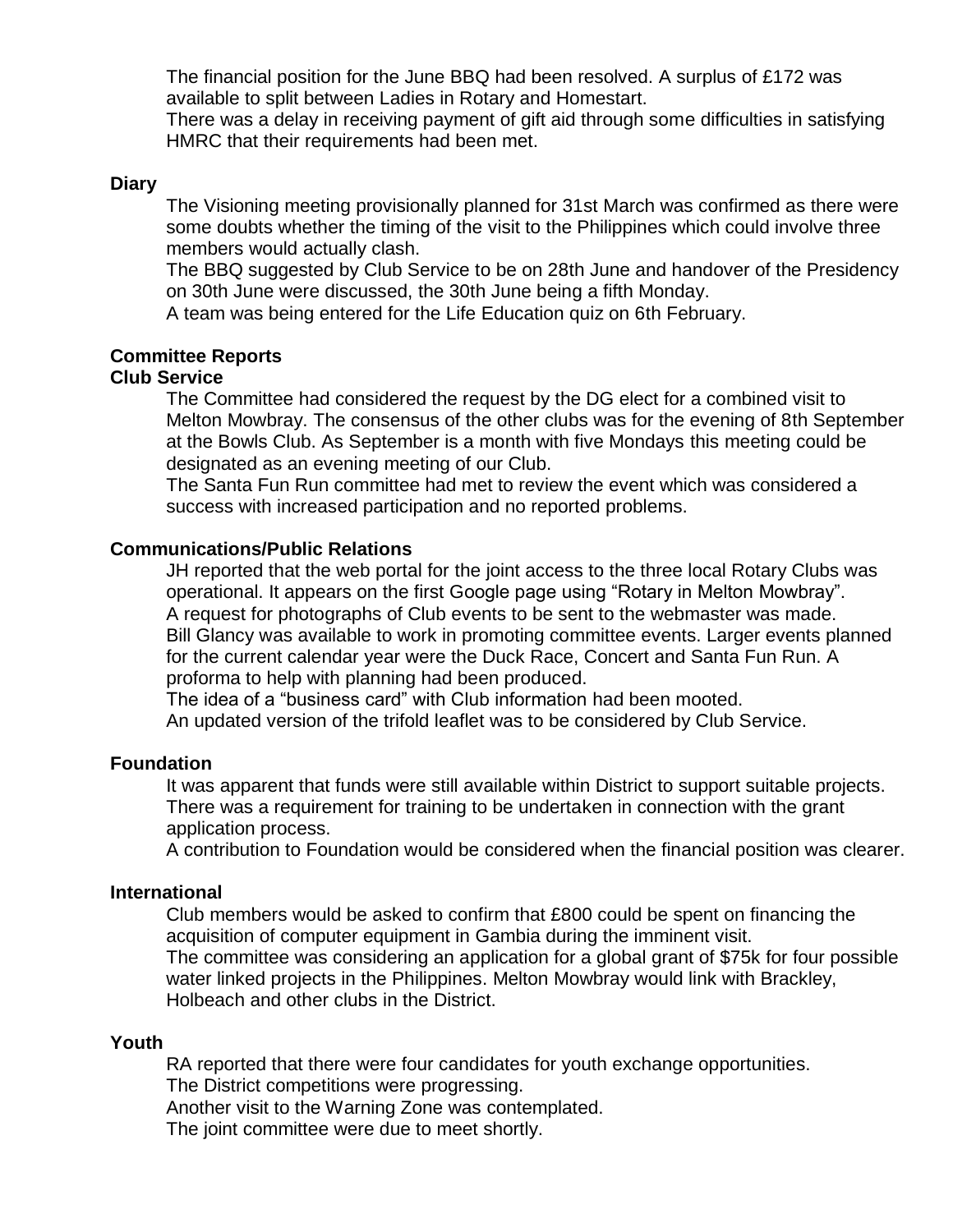The financial position for the June BBQ had been resolved. A surplus of £172 was available to split between Ladies in Rotary and Homestart.

There was a delay in receiving payment of gift aid through some difficulties in satisfying HMRC that their requirements had been met.

## **Diary**

The Visioning meeting provisionally planned for 31st March was confirmed as there were some doubts whether the timing of the visit to the Philippines which could involve three members would actually clash.

The BBQ suggested by Club Service to be on 28th June and handover of the Presidency on 30th June were discussed, the 30th June being a fifth Monday.

A team was being entered for the Life Education quiz on 6th February.

## **Committee Reports**

# **Club Service**

The Committee had considered the request by the DG elect for a combined visit to Melton Mowbray. The consensus of the other clubs was for the evening of 8th September at the Bowls Club. As September is a month with five Mondays this meeting could be designated as an evening meeting of our Club.

The Santa Fun Run committee had met to review the event which was considered a success with increased participation and no reported problems.

### **Communications/Public Relations**

JH reported that the web portal for the joint access to the three local Rotary Clubs was operational. It appears on the first Google page using "Rotary in Melton Mowbray". A request for photographs of Club events to be sent to the webmaster was made. Bill Glancy was available to work in promoting committee events. Larger events planned for the current calendar year were the Duck Race, Concert and Santa Fun Run. A proforma to help with planning had been produced.

The idea of a "business card" with Club information had been mooted. An updated version of the trifold leaflet was to be considered by Club Service.

### **Foundation**

It was apparent that funds were still available within District to support suitable projects. There was a requirement for training to be undertaken in connection with the grant application process.

A contribution to Foundation would be considered when the financial position was clearer.

#### **International**

Club members would be asked to confirm that £800 could be spent on financing the acquisition of computer equipment in Gambia during the imminent visit. The committee was considering an application for a global grant of \$75k for four possible water linked projects in the Philippines. Melton Mowbray would link with Brackley, Holbeach and other clubs in the District.

#### **Youth**

RA reported that there were four candidates for youth exchange opportunities. The District competitions were progressing. Another visit to the Warning Zone was contemplated. The joint committee were due to meet shortly.